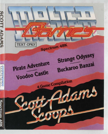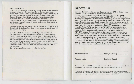### **PLAYING HINTS**

Draw a map as you go, there are a lot more places than you think and without a map you will end up going round in circles or missing areas which you haven't tried. It doesn't need to be perfect as long as you have some record of where you have been and what you've found (as well as where you found it). Examine things you find and try to remember that most problems have solutions that require no more than some careful thought and a little common sense. If you get stuck try typing HELP-you may or may not get assistance but you won't know until you ask and be careful about assuming things, it can be fatal.

To speed things up you may use the following abbreviations: N, S, E, W, U, D, for Go North, South, East, West, Up or Down. I is short for Inventory and will list what you are carrying.

Some (but not all) of the words available that you may find useful are:- Get, Take, Drop, Go, Climb, Jump, Enter, Examine, Go, Leave, Move, Quit, Say, Wear, Read, Save, Light, Pull, Push and Look . . . There are others!!! Instructions are entered by you in the form of two word commands with the first word being a verb. If the computer doesn't understand, it will tell you so and you must try rewording what you wish to do, eq. instead of GO FLYING try FLY. You will find that objects which can be picked up usually require only the last part of their name as in the BLUE OX where typing GET OX is all that is needed.

Good luck, happy adventuring and try not to die too often.

# **SPECTRUM**

Connect the EAR socket on your Spectrum to the EAR socket on your recorder and ensure the MIC lead is disconnected.

Ensure cassette is fully rewound. Zeroise tape counter. Type **LOAD""**  press **PLAY** on your cassette recorder and **ENTER** on your Spectrum. The required program will then load automatically. When the program has loaded you will be asked if you wish to start a new game or reload a saved game. To commence play simply answer the prompt for a new game. If you wish to continue a saved game, respond appropriately to the prompt and insert the cassette of your saved game (fully rewound) into your recorder. Press **PLAY** and then press **RETURN** as instructed on the screen. If you wish to save a game to continue at a later date, insert a blank tape into your cassette recorder and type **SAVE GAME** and **RETURN** on your Spectrum. Follow the instructions on the screen to ready your cassette, press **PLAY** and **RECORD,** then press **RETURN.**  Your current position will now be saved but please note that it is essential to load the program first before attempting to reload a saved game. Each game is individually loaded. So to load the next program switch off the computer and then on again and repeat loading procedure (as above). You may find it worthwhile to make a note of the counter reference on the cassette player. For ease we have included a grid for you.

Pirate Adventure **Container Strange Odyssey** Voodoo Castle Buckaroo Banzai

This compilation 1987 Manufactured in the UK under license from Adventure Sort UK Ltd., by US Gold Ltd., Units 2/3 Holford Way, Holford, Birmingham B6 7AX.

All rights reserved. Copyright subsists on this program. Unauthorised broadcasting, diffusion, public performance, copying or re-recording, hiring, leasing, renting and selling **under any exchange or repurchase scheme in any manner is prohibited.**